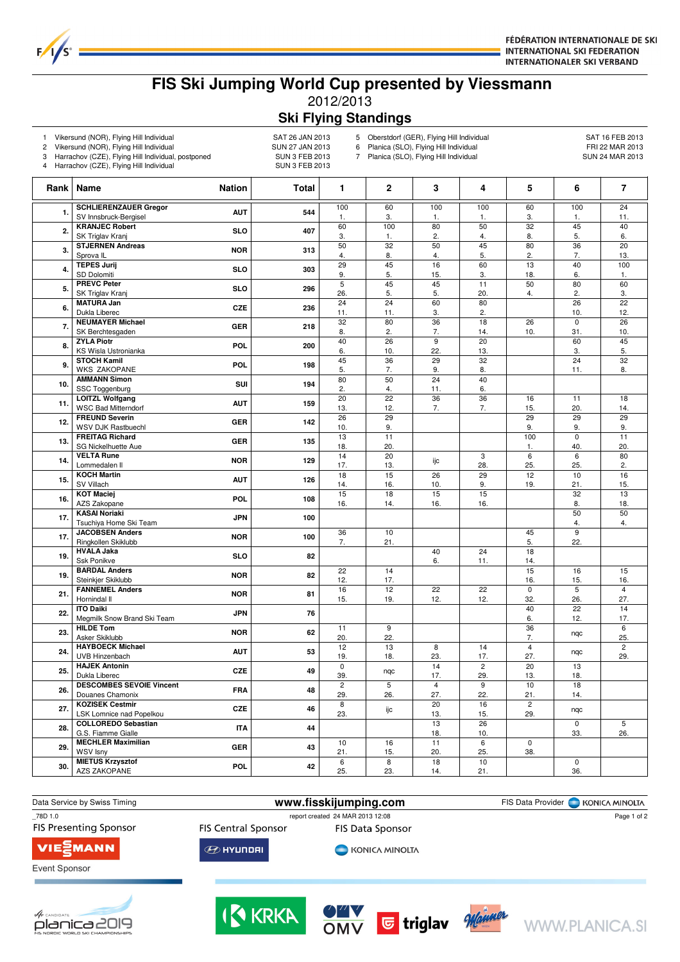

## **FIS Ski Jumping World Cup presented by Viessmann** 2012/2013 **Ski Flying Standings**

1 Vikersund (NOR), Flying Hill Individual SAT 26 JAN 2013<br>2 Vikersund (NOR), Flying Hill Individual SAT 27 JAN 2013

 $F/1/S^2$ 

 $\sqrt{ }$ 

2 Vikersund (NOR), Flying Hill Individual and the SUN 27 JAN 2013<br>3 Harrachov (CZE), Flying Hill Individual, postponed SUN 3 FEB 2013

Harrachov (CZE), Flying Hill Individual, postponed

4 Harrachov (CZE), Flying Hill Individual SUN 3 FEB 2013

5 Oberstdorf (GER), Flying Hill Individual 6 Planica (SLO), Flying Hill Individual 6 Planica (SLO), Flying Hill Individual 6 Planica (SLO), Flying Hill Individual 6 Planica (SLO), Flying Hill Individual 6 Planica (SLO), Fl 6 Planica (SLO), Flying Hill Individual FRI 22 MAR 2013<br>7 Planica (SLO), Flying Hill Individual SUN 24 MAR 2013

Planica (SLO), Flying Hill Individual

| <b>SCHLIERENZAUER Gregor</b><br>100<br>60<br>100<br>100<br>60<br>100<br>24<br><b>AUT</b><br>544<br>1.<br>SV Innsbruck-Bergisel<br>$\mathbf{1}$ .<br>3.<br>1.<br>3.<br>1.<br>11.<br>1.<br><b>KRANJEC Robert</b><br>80<br>60<br>100<br>50<br>32<br>45<br>40<br>2.<br><b>SLO</b><br>407<br>SK Triglav Kranj<br>3.<br>2.<br>4.<br>8.<br>5.<br>6.<br>1.<br>$\overline{50}$<br>$\overline{32}$<br>$\overline{50}$<br>$\overline{45}$<br><b>STJERNEN Andreas</b><br>80<br>36<br>20<br>3.<br><b>NOR</b><br>313<br>Sprova <sub>IL</sub><br>5.<br>2.<br>7.<br>4.<br>8.<br>4.<br>13.<br><b>TEPES Jurij</b><br>29<br>45<br>16<br>60<br>13<br>40<br>100<br>4.<br><b>SLO</b><br>303<br>SD Dolomiti<br>9.<br>5.<br>15.<br>3.<br>18.<br>6.<br>1.<br><b>PREVC Peter</b><br>5<br>45<br>45<br>50<br>80<br>60<br>11<br><b>SLO</b><br>296<br>5.<br>5.<br>20.<br>2.<br>SK Triglav Kranj<br>26.<br>5.<br>3.<br>4.<br><b>MATURA Jan</b><br>$\overline{24}$<br>24<br>60<br>80<br>26<br>22<br>6.<br><b>CZE</b><br>236<br>12.<br>Dukla Liberec<br>11.<br>11.<br>3.<br>2.<br>10.<br><b>NEUMAYER Michael</b><br>32<br>80<br>36<br>18<br>26<br>$\pmb{0}$<br>26<br>7.<br><b>GER</b><br>218<br>SK Berchtesgaden<br>10.<br>8.<br>2.<br>7.<br>14.<br>10.<br>31.<br><b>ZYLA Piotr</b><br>40<br>26<br>9<br>20<br>45<br>60<br><b>POL</b><br>200<br>8.<br>KS Wisla Ustronianka<br>22.<br>3.<br>5.<br>6.<br>10.<br>13.<br>36<br>29<br>32<br>$\overline{24}$<br>$\overline{32}$<br><b>STOCH Kamil</b><br>45<br>9.<br>POL<br>198<br><b>WKS ZAKOPANE</b><br>5.<br>7.<br>9.<br>8.<br>8.<br>11.<br><b>AMMANN Simon</b><br>80<br>50<br>24<br>40<br>SUI<br>10.<br>194<br>SSC Toggenburg<br>2.<br>4.<br>11.<br>6.<br>$\overline{22}$<br>$\overline{36}$<br><b>LOITZL Wolfgang</b><br>20<br>36<br>16<br>11<br>18<br>11.<br><b>AUT</b><br>159<br><b>WSC Bad Mitterndorf</b><br>12.<br>7.<br>20.<br>13.<br>7.<br>15.<br>14.<br><b>FREUND Severin</b><br>$\overline{26}$<br>29<br>29<br>29<br>29<br>142<br>12.<br><b>GER</b><br>WSV DJK Rastbuechl<br>10.<br>9.<br>9.<br>9.<br>9.<br><b>FREITAG Richard</b><br>13<br>11<br>100<br>$\mathbf 0$<br>11<br><b>GER</b><br>135<br>13.<br>SG Nickelhuette Aue<br>18.<br>20.<br>40.<br>20.<br>1.<br><b>VELTA Rune</b><br>14<br>20<br>$\overline{6}$<br>80<br>3<br>6<br><b>NOR</b><br>129<br>14.<br>ijc<br>Lommedalen II<br>17.<br>28.<br>25.<br>25.<br>2.<br>13.<br><b>KOCH Martin</b><br>18<br>15<br>26<br>29<br>12<br>10<br>16<br>126<br>15.<br><b>AUT</b><br>SV Villach<br>16.<br>10.<br>9.<br>19.<br>21.<br>15.<br>14.<br><b>KOT Maciej</b><br>15<br>18<br>15<br>15<br>32<br>13<br>POL<br>16.<br>108<br>18.<br>AZS Zakopane<br>16.<br>14.<br>16.<br>16.<br>8.<br>50<br>50<br><b>KASAI Noriaki</b><br><b>JPN</b><br>100<br>17.<br>Tsuchiya Home Ski Team<br>4.<br>4.<br><b>JACOBSEN Anders</b><br>36<br>10<br>45<br>9<br><b>NOR</b><br>100<br>17.<br>Ringkollen Skiklubb<br>7.<br>21.<br>5.<br>22.<br><b>HVALA Jaka</b><br>40<br>24<br>18<br>19.<br><b>SLO</b><br>82<br>Ssk Ponikve<br>6.<br>11.<br>14.<br><b>BARDAL Anders</b><br>15<br>22<br>14<br>15<br>16<br><b>NOR</b><br>82<br>19.<br>Steinkjer Skiklubb<br>12.<br>17.<br>15.<br>16.<br>16.<br><b>FANNEMEL Anders</b><br>16<br>12<br>22<br>22<br>$\mathsf 0$<br>5<br>$\overline{4}$<br>81<br>21.<br><b>NOR</b><br>Hornindal II<br>15.<br>12.<br>12.<br>32.<br>27.<br>19.<br>26.<br><b>ITO Daiki</b><br>40<br>22<br>14<br>76<br>22.<br><b>JPN</b><br>Megmilk Snow Brand Ski Team<br>17.<br>6.<br>12.<br><b>HILDE Tom</b><br>11<br>9<br>36<br>$6\overline{6}$<br>62<br>23.<br><b>NOR</b><br>nqc<br>Asker Skiklubb<br>20.<br>22.<br>7.<br>25.<br><b>HAYBOECK Michael</b><br>12<br>13<br>8<br>14<br>$\overline{\mathbf{4}}$<br>$\overline{c}$<br><b>AUT</b><br>53<br>24.<br>ngc<br>UVB Hinzenbach<br>23.<br>17.<br>27.<br>29.<br>19.<br>18.<br><b>HAJEK Antonin</b><br>$\mathbf 0$<br>14<br>$\overline{2}$<br>20<br>13<br>25.<br><b>CZE</b><br>49<br>nqc<br>Dukla Liberec<br>29.<br>39.<br>17.<br>13.<br>18.<br><b>DESCOMBES SEVOIE Vincent</b><br>$\overline{5}$<br>$\overline{c}$<br>$\overline{4}$<br>9<br>10<br>18<br>26.<br><b>FRA</b><br>48<br>Douanes Chamonix<br>29.<br>26.<br>27.<br>22.<br>21.<br>14.<br><b>KOZISEK Cestmir</b><br>$\overline{20}$<br>8<br>16<br>$\overline{c}$<br><b>CZE</b><br>46<br>27.<br>ijс<br>nqc<br>LSK Lomnice nad Popelkou<br>23.<br>15.<br>29.<br>13.<br><b>COLLOREDO Sebastian</b><br>26<br>13<br>$\mathbf 0$<br>5<br>44<br>28.<br><b>ITA</b><br>G.S. Fiamme Gialle<br>10.<br>26.<br>18.<br>33.<br><b>MECHLER Maximilian</b><br>16<br>11<br>10<br>6<br>$\pmb{0}$<br><b>GER</b><br>43<br>29.<br><b>WSV Isny</b><br>15.<br>20.<br>25.<br>38.<br>21.<br><b>MIETUS Krzysztof</b><br>$\overline{8}$<br>18<br>10<br>6<br>$\pmb{0}$<br>30.<br><b>POL</b><br>42<br><b>AZS ZAKOPANE</b><br>25.<br>23.<br>14.<br>21.<br>36. |  | Rank   Name | <b>Nation</b> | Total | 1 | 2 | 3 | 4 | 5 | 6 | 7 |
|---------------------------------------------------------------------------------------------------------------------------------------------------------------------------------------------------------------------------------------------------------------------------------------------------------------------------------------------------------------------------------------------------------------------------------------------------------------------------------------------------------------------------------------------------------------------------------------------------------------------------------------------------------------------------------------------------------------------------------------------------------------------------------------------------------------------------------------------------------------------------------------------------------------------------------------------------------------------------------------------------------------------------------------------------------------------------------------------------------------------------------------------------------------------------------------------------------------------------------------------------------------------------------------------------------------------------------------------------------------------------------------------------------------------------------------------------------------------------------------------------------------------------------------------------------------------------------------------------------------------------------------------------------------------------------------------------------------------------------------------------------------------------------------------------------------------------------------------------------------------------------------------------------------------------------------------------------------------------------------------------------------------------------------------------------------------------------------------------------------------------------------------------------------------------------------------------------------------------------------------------------------------------------------------------------------------------------------------------------------------------------------------------------------------------------------------------------------------------------------------------------------------------------------------------------------------------------------------------------------------------------------------------------------------------------------------------------------------------------------------------------------------------------------------------------------------------------------------------------------------------------------------------------------------------------------------------------------------------------------------------------------------------------------------------------------------------------------------------------------------------------------------------------------------------------------------------------------------------------------------------------------------------------------------------------------------------------------------------------------------------------------------------------------------------------------------------------------------------------------------------------------------------------------------------------------------------------------------------------------------------------------------------------------------------------------------------------------------------------------------------------------------------------------------------------------------------------------------------------------------------------------------------------------------------------------------------------------------------------------------------------------------------------------------------------------------------------------------------------------------------------------------------------------------------------------------------------------------------------------------------------------------------------------------------------------------------------------------------------------------------------------------------------------------------------------------------------------------------------------------------------------------------------------------------------------------------------------------------------------------------------------------------------------------------------------------------------------------------------------------------------------------------------------------------|--|-------------|---------------|-------|---|---|---|---|---|---|---|
|                                                                                                                                                                                                                                                                                                                                                                                                                                                                                                                                                                                                                                                                                                                                                                                                                                                                                                                                                                                                                                                                                                                                                                                                                                                                                                                                                                                                                                                                                                                                                                                                                                                                                                                                                                                                                                                                                                                                                                                                                                                                                                                                                                                                                                                                                                                                                                                                                                                                                                                                                                                                                                                                                                                                                                                                                                                                                                                                                                                                                                                                                                                                                                                                                                                                                                                                                                                                                                                                                                                                                                                                                                                                                                                                                                                                                                                                                                                                                                                                                                                                                                                                                                                                                                                                                                                                                                                                                                                                                                                                                                                                                                                                                                                                                                                                   |  |             |               |       |   |   |   |   |   |   |   |
|                                                                                                                                                                                                                                                                                                                                                                                                                                                                                                                                                                                                                                                                                                                                                                                                                                                                                                                                                                                                                                                                                                                                                                                                                                                                                                                                                                                                                                                                                                                                                                                                                                                                                                                                                                                                                                                                                                                                                                                                                                                                                                                                                                                                                                                                                                                                                                                                                                                                                                                                                                                                                                                                                                                                                                                                                                                                                                                                                                                                                                                                                                                                                                                                                                                                                                                                                                                                                                                                                                                                                                                                                                                                                                                                                                                                                                                                                                                                                                                                                                                                                                                                                                                                                                                                                                                                                                                                                                                                                                                                                                                                                                                                                                                                                                                                   |  |             |               |       |   |   |   |   |   |   |   |
|                                                                                                                                                                                                                                                                                                                                                                                                                                                                                                                                                                                                                                                                                                                                                                                                                                                                                                                                                                                                                                                                                                                                                                                                                                                                                                                                                                                                                                                                                                                                                                                                                                                                                                                                                                                                                                                                                                                                                                                                                                                                                                                                                                                                                                                                                                                                                                                                                                                                                                                                                                                                                                                                                                                                                                                                                                                                                                                                                                                                                                                                                                                                                                                                                                                                                                                                                                                                                                                                                                                                                                                                                                                                                                                                                                                                                                                                                                                                                                                                                                                                                                                                                                                                                                                                                                                                                                                                                                                                                                                                                                                                                                                                                                                                                                                                   |  |             |               |       |   |   |   |   |   |   |   |
|                                                                                                                                                                                                                                                                                                                                                                                                                                                                                                                                                                                                                                                                                                                                                                                                                                                                                                                                                                                                                                                                                                                                                                                                                                                                                                                                                                                                                                                                                                                                                                                                                                                                                                                                                                                                                                                                                                                                                                                                                                                                                                                                                                                                                                                                                                                                                                                                                                                                                                                                                                                                                                                                                                                                                                                                                                                                                                                                                                                                                                                                                                                                                                                                                                                                                                                                                                                                                                                                                                                                                                                                                                                                                                                                                                                                                                                                                                                                                                                                                                                                                                                                                                                                                                                                                                                                                                                                                                                                                                                                                                                                                                                                                                                                                                                                   |  |             |               |       |   |   |   |   |   |   |   |
|                                                                                                                                                                                                                                                                                                                                                                                                                                                                                                                                                                                                                                                                                                                                                                                                                                                                                                                                                                                                                                                                                                                                                                                                                                                                                                                                                                                                                                                                                                                                                                                                                                                                                                                                                                                                                                                                                                                                                                                                                                                                                                                                                                                                                                                                                                                                                                                                                                                                                                                                                                                                                                                                                                                                                                                                                                                                                                                                                                                                                                                                                                                                                                                                                                                                                                                                                                                                                                                                                                                                                                                                                                                                                                                                                                                                                                                                                                                                                                                                                                                                                                                                                                                                                                                                                                                                                                                                                                                                                                                                                                                                                                                                                                                                                                                                   |  |             |               |       |   |   |   |   |   |   |   |
|                                                                                                                                                                                                                                                                                                                                                                                                                                                                                                                                                                                                                                                                                                                                                                                                                                                                                                                                                                                                                                                                                                                                                                                                                                                                                                                                                                                                                                                                                                                                                                                                                                                                                                                                                                                                                                                                                                                                                                                                                                                                                                                                                                                                                                                                                                                                                                                                                                                                                                                                                                                                                                                                                                                                                                                                                                                                                                                                                                                                                                                                                                                                                                                                                                                                                                                                                                                                                                                                                                                                                                                                                                                                                                                                                                                                                                                                                                                                                                                                                                                                                                                                                                                                                                                                                                                                                                                                                                                                                                                                                                                                                                                                                                                                                                                                   |  |             |               |       |   |   |   |   |   |   |   |
|                                                                                                                                                                                                                                                                                                                                                                                                                                                                                                                                                                                                                                                                                                                                                                                                                                                                                                                                                                                                                                                                                                                                                                                                                                                                                                                                                                                                                                                                                                                                                                                                                                                                                                                                                                                                                                                                                                                                                                                                                                                                                                                                                                                                                                                                                                                                                                                                                                                                                                                                                                                                                                                                                                                                                                                                                                                                                                                                                                                                                                                                                                                                                                                                                                                                                                                                                                                                                                                                                                                                                                                                                                                                                                                                                                                                                                                                                                                                                                                                                                                                                                                                                                                                                                                                                                                                                                                                                                                                                                                                                                                                                                                                                                                                                                                                   |  |             |               |       |   |   |   |   |   |   |   |
|                                                                                                                                                                                                                                                                                                                                                                                                                                                                                                                                                                                                                                                                                                                                                                                                                                                                                                                                                                                                                                                                                                                                                                                                                                                                                                                                                                                                                                                                                                                                                                                                                                                                                                                                                                                                                                                                                                                                                                                                                                                                                                                                                                                                                                                                                                                                                                                                                                                                                                                                                                                                                                                                                                                                                                                                                                                                                                                                                                                                                                                                                                                                                                                                                                                                                                                                                                                                                                                                                                                                                                                                                                                                                                                                                                                                                                                                                                                                                                                                                                                                                                                                                                                                                                                                                                                                                                                                                                                                                                                                                                                                                                                                                                                                                                                                   |  |             |               |       |   |   |   |   |   |   |   |
|                                                                                                                                                                                                                                                                                                                                                                                                                                                                                                                                                                                                                                                                                                                                                                                                                                                                                                                                                                                                                                                                                                                                                                                                                                                                                                                                                                                                                                                                                                                                                                                                                                                                                                                                                                                                                                                                                                                                                                                                                                                                                                                                                                                                                                                                                                                                                                                                                                                                                                                                                                                                                                                                                                                                                                                                                                                                                                                                                                                                                                                                                                                                                                                                                                                                                                                                                                                                                                                                                                                                                                                                                                                                                                                                                                                                                                                                                                                                                                                                                                                                                                                                                                                                                                                                                                                                                                                                                                                                                                                                                                                                                                                                                                                                                                                                   |  |             |               |       |   |   |   |   |   |   |   |
|                                                                                                                                                                                                                                                                                                                                                                                                                                                                                                                                                                                                                                                                                                                                                                                                                                                                                                                                                                                                                                                                                                                                                                                                                                                                                                                                                                                                                                                                                                                                                                                                                                                                                                                                                                                                                                                                                                                                                                                                                                                                                                                                                                                                                                                                                                                                                                                                                                                                                                                                                                                                                                                                                                                                                                                                                                                                                                                                                                                                                                                                                                                                                                                                                                                                                                                                                                                                                                                                                                                                                                                                                                                                                                                                                                                                                                                                                                                                                                                                                                                                                                                                                                                                                                                                                                                                                                                                                                                                                                                                                                                                                                                                                                                                                                                                   |  |             |               |       |   |   |   |   |   |   |   |
|                                                                                                                                                                                                                                                                                                                                                                                                                                                                                                                                                                                                                                                                                                                                                                                                                                                                                                                                                                                                                                                                                                                                                                                                                                                                                                                                                                                                                                                                                                                                                                                                                                                                                                                                                                                                                                                                                                                                                                                                                                                                                                                                                                                                                                                                                                                                                                                                                                                                                                                                                                                                                                                                                                                                                                                                                                                                                                                                                                                                                                                                                                                                                                                                                                                                                                                                                                                                                                                                                                                                                                                                                                                                                                                                                                                                                                                                                                                                                                                                                                                                                                                                                                                                                                                                                                                                                                                                                                                                                                                                                                                                                                                                                                                                                                                                   |  |             |               |       |   |   |   |   |   |   |   |
|                                                                                                                                                                                                                                                                                                                                                                                                                                                                                                                                                                                                                                                                                                                                                                                                                                                                                                                                                                                                                                                                                                                                                                                                                                                                                                                                                                                                                                                                                                                                                                                                                                                                                                                                                                                                                                                                                                                                                                                                                                                                                                                                                                                                                                                                                                                                                                                                                                                                                                                                                                                                                                                                                                                                                                                                                                                                                                                                                                                                                                                                                                                                                                                                                                                                                                                                                                                                                                                                                                                                                                                                                                                                                                                                                                                                                                                                                                                                                                                                                                                                                                                                                                                                                                                                                                                                                                                                                                                                                                                                                                                                                                                                                                                                                                                                   |  |             |               |       |   |   |   |   |   |   |   |
|                                                                                                                                                                                                                                                                                                                                                                                                                                                                                                                                                                                                                                                                                                                                                                                                                                                                                                                                                                                                                                                                                                                                                                                                                                                                                                                                                                                                                                                                                                                                                                                                                                                                                                                                                                                                                                                                                                                                                                                                                                                                                                                                                                                                                                                                                                                                                                                                                                                                                                                                                                                                                                                                                                                                                                                                                                                                                                                                                                                                                                                                                                                                                                                                                                                                                                                                                                                                                                                                                                                                                                                                                                                                                                                                                                                                                                                                                                                                                                                                                                                                                                                                                                                                                                                                                                                                                                                                                                                                                                                                                                                                                                                                                                                                                                                                   |  |             |               |       |   |   |   |   |   |   |   |
|                                                                                                                                                                                                                                                                                                                                                                                                                                                                                                                                                                                                                                                                                                                                                                                                                                                                                                                                                                                                                                                                                                                                                                                                                                                                                                                                                                                                                                                                                                                                                                                                                                                                                                                                                                                                                                                                                                                                                                                                                                                                                                                                                                                                                                                                                                                                                                                                                                                                                                                                                                                                                                                                                                                                                                                                                                                                                                                                                                                                                                                                                                                                                                                                                                                                                                                                                                                                                                                                                                                                                                                                                                                                                                                                                                                                                                                                                                                                                                                                                                                                                                                                                                                                                                                                                                                                                                                                                                                                                                                                                                                                                                                                                                                                                                                                   |  |             |               |       |   |   |   |   |   |   |   |
|                                                                                                                                                                                                                                                                                                                                                                                                                                                                                                                                                                                                                                                                                                                                                                                                                                                                                                                                                                                                                                                                                                                                                                                                                                                                                                                                                                                                                                                                                                                                                                                                                                                                                                                                                                                                                                                                                                                                                                                                                                                                                                                                                                                                                                                                                                                                                                                                                                                                                                                                                                                                                                                                                                                                                                                                                                                                                                                                                                                                                                                                                                                                                                                                                                                                                                                                                                                                                                                                                                                                                                                                                                                                                                                                                                                                                                                                                                                                                                                                                                                                                                                                                                                                                                                                                                                                                                                                                                                                                                                                                                                                                                                                                                                                                                                                   |  |             |               |       |   |   |   |   |   |   |   |
|                                                                                                                                                                                                                                                                                                                                                                                                                                                                                                                                                                                                                                                                                                                                                                                                                                                                                                                                                                                                                                                                                                                                                                                                                                                                                                                                                                                                                                                                                                                                                                                                                                                                                                                                                                                                                                                                                                                                                                                                                                                                                                                                                                                                                                                                                                                                                                                                                                                                                                                                                                                                                                                                                                                                                                                                                                                                                                                                                                                                                                                                                                                                                                                                                                                                                                                                                                                                                                                                                                                                                                                                                                                                                                                                                                                                                                                                                                                                                                                                                                                                                                                                                                                                                                                                                                                                                                                                                                                                                                                                                                                                                                                                                                                                                                                                   |  |             |               |       |   |   |   |   |   |   |   |
|                                                                                                                                                                                                                                                                                                                                                                                                                                                                                                                                                                                                                                                                                                                                                                                                                                                                                                                                                                                                                                                                                                                                                                                                                                                                                                                                                                                                                                                                                                                                                                                                                                                                                                                                                                                                                                                                                                                                                                                                                                                                                                                                                                                                                                                                                                                                                                                                                                                                                                                                                                                                                                                                                                                                                                                                                                                                                                                                                                                                                                                                                                                                                                                                                                                                                                                                                                                                                                                                                                                                                                                                                                                                                                                                                                                                                                                                                                                                                                                                                                                                                                                                                                                                                                                                                                                                                                                                                                                                                                                                                                                                                                                                                                                                                                                                   |  |             |               |       |   |   |   |   |   |   |   |
|                                                                                                                                                                                                                                                                                                                                                                                                                                                                                                                                                                                                                                                                                                                                                                                                                                                                                                                                                                                                                                                                                                                                                                                                                                                                                                                                                                                                                                                                                                                                                                                                                                                                                                                                                                                                                                                                                                                                                                                                                                                                                                                                                                                                                                                                                                                                                                                                                                                                                                                                                                                                                                                                                                                                                                                                                                                                                                                                                                                                                                                                                                                                                                                                                                                                                                                                                                                                                                                                                                                                                                                                                                                                                                                                                                                                                                                                                                                                                                                                                                                                                                                                                                                                                                                                                                                                                                                                                                                                                                                                                                                                                                                                                                                                                                                                   |  |             |               |       |   |   |   |   |   |   |   |
|                                                                                                                                                                                                                                                                                                                                                                                                                                                                                                                                                                                                                                                                                                                                                                                                                                                                                                                                                                                                                                                                                                                                                                                                                                                                                                                                                                                                                                                                                                                                                                                                                                                                                                                                                                                                                                                                                                                                                                                                                                                                                                                                                                                                                                                                                                                                                                                                                                                                                                                                                                                                                                                                                                                                                                                                                                                                                                                                                                                                                                                                                                                                                                                                                                                                                                                                                                                                                                                                                                                                                                                                                                                                                                                                                                                                                                                                                                                                                                                                                                                                                                                                                                                                                                                                                                                                                                                                                                                                                                                                                                                                                                                                                                                                                                                                   |  |             |               |       |   |   |   |   |   |   |   |
|                                                                                                                                                                                                                                                                                                                                                                                                                                                                                                                                                                                                                                                                                                                                                                                                                                                                                                                                                                                                                                                                                                                                                                                                                                                                                                                                                                                                                                                                                                                                                                                                                                                                                                                                                                                                                                                                                                                                                                                                                                                                                                                                                                                                                                                                                                                                                                                                                                                                                                                                                                                                                                                                                                                                                                                                                                                                                                                                                                                                                                                                                                                                                                                                                                                                                                                                                                                                                                                                                                                                                                                                                                                                                                                                                                                                                                                                                                                                                                                                                                                                                                                                                                                                                                                                                                                                                                                                                                                                                                                                                                                                                                                                                                                                                                                                   |  |             |               |       |   |   |   |   |   |   |   |
|                                                                                                                                                                                                                                                                                                                                                                                                                                                                                                                                                                                                                                                                                                                                                                                                                                                                                                                                                                                                                                                                                                                                                                                                                                                                                                                                                                                                                                                                                                                                                                                                                                                                                                                                                                                                                                                                                                                                                                                                                                                                                                                                                                                                                                                                                                                                                                                                                                                                                                                                                                                                                                                                                                                                                                                                                                                                                                                                                                                                                                                                                                                                                                                                                                                                                                                                                                                                                                                                                                                                                                                                                                                                                                                                                                                                                                                                                                                                                                                                                                                                                                                                                                                                                                                                                                                                                                                                                                                                                                                                                                                                                                                                                                                                                                                                   |  |             |               |       |   |   |   |   |   |   |   |
|                                                                                                                                                                                                                                                                                                                                                                                                                                                                                                                                                                                                                                                                                                                                                                                                                                                                                                                                                                                                                                                                                                                                                                                                                                                                                                                                                                                                                                                                                                                                                                                                                                                                                                                                                                                                                                                                                                                                                                                                                                                                                                                                                                                                                                                                                                                                                                                                                                                                                                                                                                                                                                                                                                                                                                                                                                                                                                                                                                                                                                                                                                                                                                                                                                                                                                                                                                                                                                                                                                                                                                                                                                                                                                                                                                                                                                                                                                                                                                                                                                                                                                                                                                                                                                                                                                                                                                                                                                                                                                                                                                                                                                                                                                                                                                                                   |  |             |               |       |   |   |   |   |   |   |   |
|                                                                                                                                                                                                                                                                                                                                                                                                                                                                                                                                                                                                                                                                                                                                                                                                                                                                                                                                                                                                                                                                                                                                                                                                                                                                                                                                                                                                                                                                                                                                                                                                                                                                                                                                                                                                                                                                                                                                                                                                                                                                                                                                                                                                                                                                                                                                                                                                                                                                                                                                                                                                                                                                                                                                                                                                                                                                                                                                                                                                                                                                                                                                                                                                                                                                                                                                                                                                                                                                                                                                                                                                                                                                                                                                                                                                                                                                                                                                                                                                                                                                                                                                                                                                                                                                                                                                                                                                                                                                                                                                                                                                                                                                                                                                                                                                   |  |             |               |       |   |   |   |   |   |   |   |
|                                                                                                                                                                                                                                                                                                                                                                                                                                                                                                                                                                                                                                                                                                                                                                                                                                                                                                                                                                                                                                                                                                                                                                                                                                                                                                                                                                                                                                                                                                                                                                                                                                                                                                                                                                                                                                                                                                                                                                                                                                                                                                                                                                                                                                                                                                                                                                                                                                                                                                                                                                                                                                                                                                                                                                                                                                                                                                                                                                                                                                                                                                                                                                                                                                                                                                                                                                                                                                                                                                                                                                                                                                                                                                                                                                                                                                                                                                                                                                                                                                                                                                                                                                                                                                                                                                                                                                                                                                                                                                                                                                                                                                                                                                                                                                                                   |  |             |               |       |   |   |   |   |   |   |   |
|                                                                                                                                                                                                                                                                                                                                                                                                                                                                                                                                                                                                                                                                                                                                                                                                                                                                                                                                                                                                                                                                                                                                                                                                                                                                                                                                                                                                                                                                                                                                                                                                                                                                                                                                                                                                                                                                                                                                                                                                                                                                                                                                                                                                                                                                                                                                                                                                                                                                                                                                                                                                                                                                                                                                                                                                                                                                                                                                                                                                                                                                                                                                                                                                                                                                                                                                                                                                                                                                                                                                                                                                                                                                                                                                                                                                                                                                                                                                                                                                                                                                                                                                                                                                                                                                                                                                                                                                                                                                                                                                                                                                                                                                                                                                                                                                   |  |             |               |       |   |   |   |   |   |   |   |
|                                                                                                                                                                                                                                                                                                                                                                                                                                                                                                                                                                                                                                                                                                                                                                                                                                                                                                                                                                                                                                                                                                                                                                                                                                                                                                                                                                                                                                                                                                                                                                                                                                                                                                                                                                                                                                                                                                                                                                                                                                                                                                                                                                                                                                                                                                                                                                                                                                                                                                                                                                                                                                                                                                                                                                                                                                                                                                                                                                                                                                                                                                                                                                                                                                                                                                                                                                                                                                                                                                                                                                                                                                                                                                                                                                                                                                                                                                                                                                                                                                                                                                                                                                                                                                                                                                                                                                                                                                                                                                                                                                                                                                                                                                                                                                                                   |  |             |               |       |   |   |   |   |   |   |   |
|                                                                                                                                                                                                                                                                                                                                                                                                                                                                                                                                                                                                                                                                                                                                                                                                                                                                                                                                                                                                                                                                                                                                                                                                                                                                                                                                                                                                                                                                                                                                                                                                                                                                                                                                                                                                                                                                                                                                                                                                                                                                                                                                                                                                                                                                                                                                                                                                                                                                                                                                                                                                                                                                                                                                                                                                                                                                                                                                                                                                                                                                                                                                                                                                                                                                                                                                                                                                                                                                                                                                                                                                                                                                                                                                                                                                                                                                                                                                                                                                                                                                                                                                                                                                                                                                                                                                                                                                                                                                                                                                                                                                                                                                                                                                                                                                   |  |             |               |       |   |   |   |   |   |   |   |
|                                                                                                                                                                                                                                                                                                                                                                                                                                                                                                                                                                                                                                                                                                                                                                                                                                                                                                                                                                                                                                                                                                                                                                                                                                                                                                                                                                                                                                                                                                                                                                                                                                                                                                                                                                                                                                                                                                                                                                                                                                                                                                                                                                                                                                                                                                                                                                                                                                                                                                                                                                                                                                                                                                                                                                                                                                                                                                                                                                                                                                                                                                                                                                                                                                                                                                                                                                                                                                                                                                                                                                                                                                                                                                                                                                                                                                                                                                                                                                                                                                                                                                                                                                                                                                                                                                                                                                                                                                                                                                                                                                                                                                                                                                                                                                                                   |  |             |               |       |   |   |   |   |   |   |   |
|                                                                                                                                                                                                                                                                                                                                                                                                                                                                                                                                                                                                                                                                                                                                                                                                                                                                                                                                                                                                                                                                                                                                                                                                                                                                                                                                                                                                                                                                                                                                                                                                                                                                                                                                                                                                                                                                                                                                                                                                                                                                                                                                                                                                                                                                                                                                                                                                                                                                                                                                                                                                                                                                                                                                                                                                                                                                                                                                                                                                                                                                                                                                                                                                                                                                                                                                                                                                                                                                                                                                                                                                                                                                                                                                                                                                                                                                                                                                                                                                                                                                                                                                                                                                                                                                                                                                                                                                                                                                                                                                                                                                                                                                                                                                                                                                   |  |             |               |       |   |   |   |   |   |   |   |
|                                                                                                                                                                                                                                                                                                                                                                                                                                                                                                                                                                                                                                                                                                                                                                                                                                                                                                                                                                                                                                                                                                                                                                                                                                                                                                                                                                                                                                                                                                                                                                                                                                                                                                                                                                                                                                                                                                                                                                                                                                                                                                                                                                                                                                                                                                                                                                                                                                                                                                                                                                                                                                                                                                                                                                                                                                                                                                                                                                                                                                                                                                                                                                                                                                                                                                                                                                                                                                                                                                                                                                                                                                                                                                                                                                                                                                                                                                                                                                                                                                                                                                                                                                                                                                                                                                                                                                                                                                                                                                                                                                                                                                                                                                                                                                                                   |  |             |               |       |   |   |   |   |   |   |   |
|                                                                                                                                                                                                                                                                                                                                                                                                                                                                                                                                                                                                                                                                                                                                                                                                                                                                                                                                                                                                                                                                                                                                                                                                                                                                                                                                                                                                                                                                                                                                                                                                                                                                                                                                                                                                                                                                                                                                                                                                                                                                                                                                                                                                                                                                                                                                                                                                                                                                                                                                                                                                                                                                                                                                                                                                                                                                                                                                                                                                                                                                                                                                                                                                                                                                                                                                                                                                                                                                                                                                                                                                                                                                                                                                                                                                                                                                                                                                                                                                                                                                                                                                                                                                                                                                                                                                                                                                                                                                                                                                                                                                                                                                                                                                                                                                   |  |             |               |       |   |   |   |   |   |   |   |
|                                                                                                                                                                                                                                                                                                                                                                                                                                                                                                                                                                                                                                                                                                                                                                                                                                                                                                                                                                                                                                                                                                                                                                                                                                                                                                                                                                                                                                                                                                                                                                                                                                                                                                                                                                                                                                                                                                                                                                                                                                                                                                                                                                                                                                                                                                                                                                                                                                                                                                                                                                                                                                                                                                                                                                                                                                                                                                                                                                                                                                                                                                                                                                                                                                                                                                                                                                                                                                                                                                                                                                                                                                                                                                                                                                                                                                                                                                                                                                                                                                                                                                                                                                                                                                                                                                                                                                                                                                                                                                                                                                                                                                                                                                                                                                                                   |  |             |               |       |   |   |   |   |   |   |   |
|                                                                                                                                                                                                                                                                                                                                                                                                                                                                                                                                                                                                                                                                                                                                                                                                                                                                                                                                                                                                                                                                                                                                                                                                                                                                                                                                                                                                                                                                                                                                                                                                                                                                                                                                                                                                                                                                                                                                                                                                                                                                                                                                                                                                                                                                                                                                                                                                                                                                                                                                                                                                                                                                                                                                                                                                                                                                                                                                                                                                                                                                                                                                                                                                                                                                                                                                                                                                                                                                                                                                                                                                                                                                                                                                                                                                                                                                                                                                                                                                                                                                                                                                                                                                                                                                                                                                                                                                                                                                                                                                                                                                                                                                                                                                                                                                   |  |             |               |       |   |   |   |   |   |   |   |
|                                                                                                                                                                                                                                                                                                                                                                                                                                                                                                                                                                                                                                                                                                                                                                                                                                                                                                                                                                                                                                                                                                                                                                                                                                                                                                                                                                                                                                                                                                                                                                                                                                                                                                                                                                                                                                                                                                                                                                                                                                                                                                                                                                                                                                                                                                                                                                                                                                                                                                                                                                                                                                                                                                                                                                                                                                                                                                                                                                                                                                                                                                                                                                                                                                                                                                                                                                                                                                                                                                                                                                                                                                                                                                                                                                                                                                                                                                                                                                                                                                                                                                                                                                                                                                                                                                                                                                                                                                                                                                                                                                                                                                                                                                                                                                                                   |  |             |               |       |   |   |   |   |   |   |   |
|                                                                                                                                                                                                                                                                                                                                                                                                                                                                                                                                                                                                                                                                                                                                                                                                                                                                                                                                                                                                                                                                                                                                                                                                                                                                                                                                                                                                                                                                                                                                                                                                                                                                                                                                                                                                                                                                                                                                                                                                                                                                                                                                                                                                                                                                                                                                                                                                                                                                                                                                                                                                                                                                                                                                                                                                                                                                                                                                                                                                                                                                                                                                                                                                                                                                                                                                                                                                                                                                                                                                                                                                                                                                                                                                                                                                                                                                                                                                                                                                                                                                                                                                                                                                                                                                                                                                                                                                                                                                                                                                                                                                                                                                                                                                                                                                   |  |             |               |       |   |   |   |   |   |   |   |
|                                                                                                                                                                                                                                                                                                                                                                                                                                                                                                                                                                                                                                                                                                                                                                                                                                                                                                                                                                                                                                                                                                                                                                                                                                                                                                                                                                                                                                                                                                                                                                                                                                                                                                                                                                                                                                                                                                                                                                                                                                                                                                                                                                                                                                                                                                                                                                                                                                                                                                                                                                                                                                                                                                                                                                                                                                                                                                                                                                                                                                                                                                                                                                                                                                                                                                                                                                                                                                                                                                                                                                                                                                                                                                                                                                                                                                                                                                                                                                                                                                                                                                                                                                                                                                                                                                                                                                                                                                                                                                                                                                                                                                                                                                                                                                                                   |  |             |               |       |   |   |   |   |   |   |   |
|                                                                                                                                                                                                                                                                                                                                                                                                                                                                                                                                                                                                                                                                                                                                                                                                                                                                                                                                                                                                                                                                                                                                                                                                                                                                                                                                                                                                                                                                                                                                                                                                                                                                                                                                                                                                                                                                                                                                                                                                                                                                                                                                                                                                                                                                                                                                                                                                                                                                                                                                                                                                                                                                                                                                                                                                                                                                                                                                                                                                                                                                                                                                                                                                                                                                                                                                                                                                                                                                                                                                                                                                                                                                                                                                                                                                                                                                                                                                                                                                                                                                                                                                                                                                                                                                                                                                                                                                                                                                                                                                                                                                                                                                                                                                                                                                   |  |             |               |       |   |   |   |   |   |   |   |
|                                                                                                                                                                                                                                                                                                                                                                                                                                                                                                                                                                                                                                                                                                                                                                                                                                                                                                                                                                                                                                                                                                                                                                                                                                                                                                                                                                                                                                                                                                                                                                                                                                                                                                                                                                                                                                                                                                                                                                                                                                                                                                                                                                                                                                                                                                                                                                                                                                                                                                                                                                                                                                                                                                                                                                                                                                                                                                                                                                                                                                                                                                                                                                                                                                                                                                                                                                                                                                                                                                                                                                                                                                                                                                                                                                                                                                                                                                                                                                                                                                                                                                                                                                                                                                                                                                                                                                                                                                                                                                                                                                                                                                                                                                                                                                                                   |  |             |               |       |   |   |   |   |   |   |   |
|                                                                                                                                                                                                                                                                                                                                                                                                                                                                                                                                                                                                                                                                                                                                                                                                                                                                                                                                                                                                                                                                                                                                                                                                                                                                                                                                                                                                                                                                                                                                                                                                                                                                                                                                                                                                                                                                                                                                                                                                                                                                                                                                                                                                                                                                                                                                                                                                                                                                                                                                                                                                                                                                                                                                                                                                                                                                                                                                                                                                                                                                                                                                                                                                                                                                                                                                                                                                                                                                                                                                                                                                                                                                                                                                                                                                                                                                                                                                                                                                                                                                                                                                                                                                                                                                                                                                                                                                                                                                                                                                                                                                                                                                                                                                                                                                   |  |             |               |       |   |   |   |   |   |   |   |
|                                                                                                                                                                                                                                                                                                                                                                                                                                                                                                                                                                                                                                                                                                                                                                                                                                                                                                                                                                                                                                                                                                                                                                                                                                                                                                                                                                                                                                                                                                                                                                                                                                                                                                                                                                                                                                                                                                                                                                                                                                                                                                                                                                                                                                                                                                                                                                                                                                                                                                                                                                                                                                                                                                                                                                                                                                                                                                                                                                                                                                                                                                                                                                                                                                                                                                                                                                                                                                                                                                                                                                                                                                                                                                                                                                                                                                                                                                                                                                                                                                                                                                                                                                                                                                                                                                                                                                                                                                                                                                                                                                                                                                                                                                                                                                                                   |  |             |               |       |   |   |   |   |   |   |   |
|                                                                                                                                                                                                                                                                                                                                                                                                                                                                                                                                                                                                                                                                                                                                                                                                                                                                                                                                                                                                                                                                                                                                                                                                                                                                                                                                                                                                                                                                                                                                                                                                                                                                                                                                                                                                                                                                                                                                                                                                                                                                                                                                                                                                                                                                                                                                                                                                                                                                                                                                                                                                                                                                                                                                                                                                                                                                                                                                                                                                                                                                                                                                                                                                                                                                                                                                                                                                                                                                                                                                                                                                                                                                                                                                                                                                                                                                                                                                                                                                                                                                                                                                                                                                                                                                                                                                                                                                                                                                                                                                                                                                                                                                                                                                                                                                   |  |             |               |       |   |   |   |   |   |   |   |
|                                                                                                                                                                                                                                                                                                                                                                                                                                                                                                                                                                                                                                                                                                                                                                                                                                                                                                                                                                                                                                                                                                                                                                                                                                                                                                                                                                                                                                                                                                                                                                                                                                                                                                                                                                                                                                                                                                                                                                                                                                                                                                                                                                                                                                                                                                                                                                                                                                                                                                                                                                                                                                                                                                                                                                                                                                                                                                                                                                                                                                                                                                                                                                                                                                                                                                                                                                                                                                                                                                                                                                                                                                                                                                                                                                                                                                                                                                                                                                                                                                                                                                                                                                                                                                                                                                                                                                                                                                                                                                                                                                                                                                                                                                                                                                                                   |  |             |               |       |   |   |   |   |   |   |   |
|                                                                                                                                                                                                                                                                                                                                                                                                                                                                                                                                                                                                                                                                                                                                                                                                                                                                                                                                                                                                                                                                                                                                                                                                                                                                                                                                                                                                                                                                                                                                                                                                                                                                                                                                                                                                                                                                                                                                                                                                                                                                                                                                                                                                                                                                                                                                                                                                                                                                                                                                                                                                                                                                                                                                                                                                                                                                                                                                                                                                                                                                                                                                                                                                                                                                                                                                                                                                                                                                                                                                                                                                                                                                                                                                                                                                                                                                                                                                                                                                                                                                                                                                                                                                                                                                                                                                                                                                                                                                                                                                                                                                                                                                                                                                                                                                   |  |             |               |       |   |   |   |   |   |   |   |
|                                                                                                                                                                                                                                                                                                                                                                                                                                                                                                                                                                                                                                                                                                                                                                                                                                                                                                                                                                                                                                                                                                                                                                                                                                                                                                                                                                                                                                                                                                                                                                                                                                                                                                                                                                                                                                                                                                                                                                                                                                                                                                                                                                                                                                                                                                                                                                                                                                                                                                                                                                                                                                                                                                                                                                                                                                                                                                                                                                                                                                                                                                                                                                                                                                                                                                                                                                                                                                                                                                                                                                                                                                                                                                                                                                                                                                                                                                                                                                                                                                                                                                                                                                                                                                                                                                                                                                                                                                                                                                                                                                                                                                                                                                                                                                                                   |  |             |               |       |   |   |   |   |   |   |   |
|                                                                                                                                                                                                                                                                                                                                                                                                                                                                                                                                                                                                                                                                                                                                                                                                                                                                                                                                                                                                                                                                                                                                                                                                                                                                                                                                                                                                                                                                                                                                                                                                                                                                                                                                                                                                                                                                                                                                                                                                                                                                                                                                                                                                                                                                                                                                                                                                                                                                                                                                                                                                                                                                                                                                                                                                                                                                                                                                                                                                                                                                                                                                                                                                                                                                                                                                                                                                                                                                                                                                                                                                                                                                                                                                                                                                                                                                                                                                                                                                                                                                                                                                                                                                                                                                                                                                                                                                                                                                                                                                                                                                                                                                                                                                                                                                   |  |             |               |       |   |   |   |   |   |   |   |
|                                                                                                                                                                                                                                                                                                                                                                                                                                                                                                                                                                                                                                                                                                                                                                                                                                                                                                                                                                                                                                                                                                                                                                                                                                                                                                                                                                                                                                                                                                                                                                                                                                                                                                                                                                                                                                                                                                                                                                                                                                                                                                                                                                                                                                                                                                                                                                                                                                                                                                                                                                                                                                                                                                                                                                                                                                                                                                                                                                                                                                                                                                                                                                                                                                                                                                                                                                                                                                                                                                                                                                                                                                                                                                                                                                                                                                                                                                                                                                                                                                                                                                                                                                                                                                                                                                                                                                                                                                                                                                                                                                                                                                                                                                                                                                                                   |  |             |               |       |   |   |   |   |   |   |   |
|                                                                                                                                                                                                                                                                                                                                                                                                                                                                                                                                                                                                                                                                                                                                                                                                                                                                                                                                                                                                                                                                                                                                                                                                                                                                                                                                                                                                                                                                                                                                                                                                                                                                                                                                                                                                                                                                                                                                                                                                                                                                                                                                                                                                                                                                                                                                                                                                                                                                                                                                                                                                                                                                                                                                                                                                                                                                                                                                                                                                                                                                                                                                                                                                                                                                                                                                                                                                                                                                                                                                                                                                                                                                                                                                                                                                                                                                                                                                                                                                                                                                                                                                                                                                                                                                                                                                                                                                                                                                                                                                                                                                                                                                                                                                                                                                   |  |             |               |       |   |   |   |   |   |   |   |